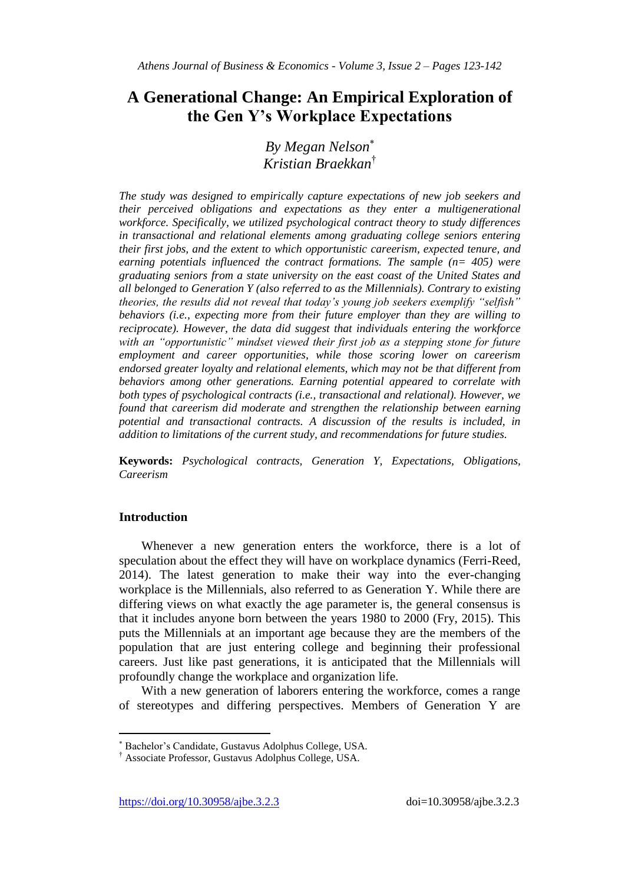# **A Generational Change: An Empirical Exploration of the Gen Y's Workplace Expectations**

*By Megan Nelson Kristian Braekkan*†

*The study was designed to empirically capture expectations of new job seekers and their perceived obligations and expectations as they enter a multigenerational workforce. Specifically, we utilized psychological contract theory to study differences in transactional and relational elements among graduating college seniors entering their first jobs, and the extent to which opportunistic careerism, expected tenure, and earning potentials influenced the contract formations. The sample (n= 405) were graduating seniors from a state university on the east coast of the United States and all belonged to Generation Y (also referred to as the Millennials). Contrary to existing theories, the results did not reveal that today"s young job seekers exemplify "selfish" behaviors (i.e., expecting more from their future employer than they are willing to reciprocate). However, the data did suggest that individuals entering the workforce with an "opportunistic" mindset viewed their first job as a stepping stone for future employment and career opportunities, while those scoring lower on careerism endorsed greater loyalty and relational elements, which may not be that different from behaviors among other generations. Earning potential appeared to correlate with both types of psychological contracts (i.e., transactional and relational). However, we found that careerism did moderate and strengthen the relationship between earning potential and transactional contracts. A discussion of the results is included, in addition to limitations of the current study, and recommendations for future studies.*

**Keywords:** *Psychological contracts, Generation Y, Expectations, Obligations, Careerism*

# **Introduction**

 $\overline{\phantom{a}}$ 

Whenever a new generation enters the workforce, there is a lot of speculation about the effect they will have on workplace dynamics (Ferri-Reed, 2014). The latest generation to make their way into the ever-changing workplace is the Millennials, also referred to as Generation Y. While there are differing views on what exactly the age parameter is, the general consensus is that it includes anyone born between the years 1980 to 2000 (Fry, 2015). This puts the Millennials at an important age because they are the members of the population that are just entering college and beginning their professional careers. Just like past generations, it is anticipated that the Millennials will profoundly change the workplace and organization life.

With a new generation of laborers entering the workforce, comes a range of stereotypes and differing perspectives. Members of Generation Y are

Bachelor's Candidate, Gustavus Adolphus College, USA.

<sup>†</sup> Associate Professor, Gustavus Adolphus College, USA.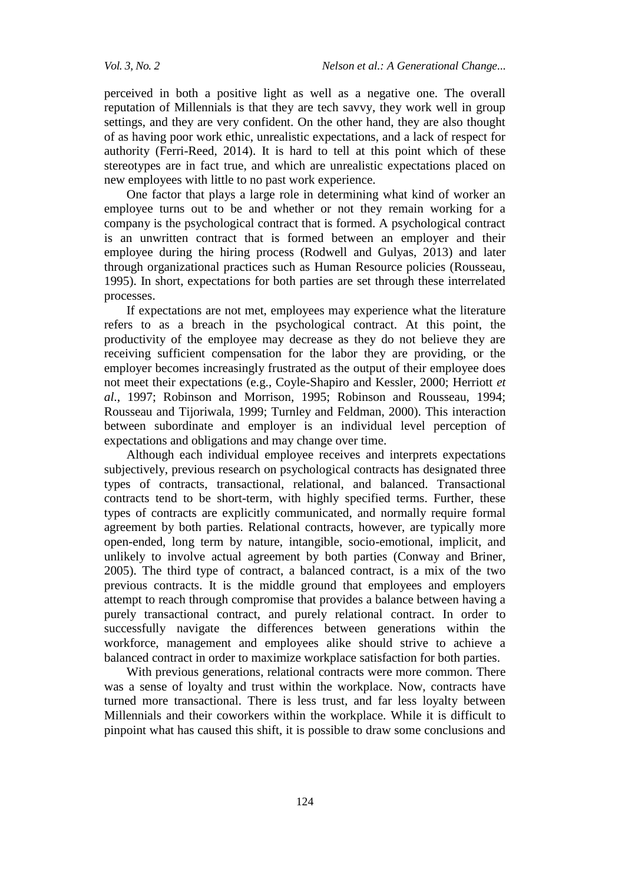perceived in both a positive light as well as a negative one. The overall reputation of Millennials is that they are tech savvy, they work well in group settings, and they are very confident. On the other hand, they are also thought of as having poor work ethic, unrealistic expectations, and a lack of respect for authority (Ferri-Reed, 2014). It is hard to tell at this point which of these stereotypes are in fact true, and which are unrealistic expectations placed on new employees with little to no past work experience.

One factor that plays a large role in determining what kind of worker an employee turns out to be and whether or not they remain working for a company is the psychological contract that is formed. A psychological contract is an unwritten contract that is formed between an employer and their employee during the hiring process (Rodwell and Gulyas, 2013) and later through organizational practices such as Human Resource policies (Rousseau, 1995). In short, expectations for both parties are set through these interrelated processes.

If expectations are not met, employees may experience what the literature refers to as a breach in the psychological contract. At this point, the productivity of the employee may decrease as they do not believe they are receiving sufficient compensation for the labor they are providing, or the employer becomes increasingly frustrated as the output of their employee does not meet their expectations (e.g., Coyle-Shapiro and Kessler, 2000; Herriott *et al*., 1997; Robinson and Morrison, 1995; Robinson and Rousseau, 1994; Rousseau and Tijoriwala, 1999; Turnley and Feldman, 2000). This interaction between subordinate and employer is an individual level perception of expectations and obligations and may change over time.

Although each individual employee receives and interprets expectations subjectively, previous research on psychological contracts has designated three types of contracts, transactional, relational, and balanced. Transactional contracts tend to be short-term, with highly specified terms. Further, these types of contracts are explicitly communicated, and normally require formal agreement by both parties. Relational contracts, however, are typically more open-ended, long term by nature, intangible, socio-emotional, implicit, and unlikely to involve actual agreement by both parties (Conway and Briner, 2005). The third type of contract, a balanced contract, is a mix of the two previous contracts. It is the middle ground that employees and employers attempt to reach through compromise that provides a balance between having a purely transactional contract, and purely relational contract. In order to successfully navigate the differences between generations within the workforce, management and employees alike should strive to achieve a balanced contract in order to maximize workplace satisfaction for both parties.

With previous generations, relational contracts were more common. There was a sense of loyalty and trust within the workplace. Now, contracts have turned more transactional. There is less trust, and far less loyalty between Millennials and their coworkers within the workplace. While it is difficult to pinpoint what has caused this shift, it is possible to draw some conclusions and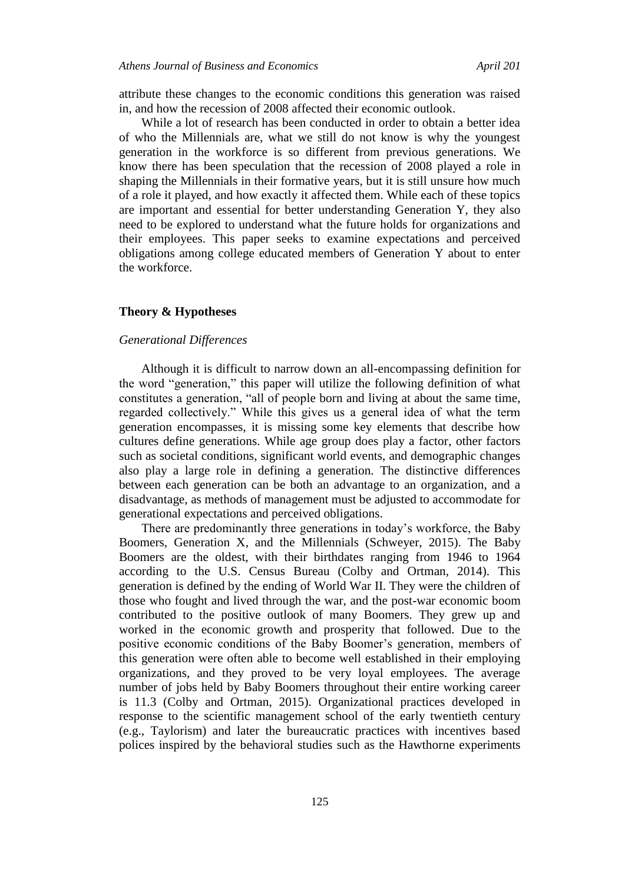attribute these changes to the economic conditions this generation was raised in, and how the recession of 2008 affected their economic outlook.

While a lot of research has been conducted in order to obtain a better idea of who the Millennials are, what we still do not know is why the youngest generation in the workforce is so different from previous generations. We know there has been speculation that the recession of 2008 played a role in shaping the Millennials in their formative years, but it is still unsure how much of a role it played, and how exactly it affected them. While each of these topics are important and essential for better understanding Generation Y, they also need to be explored to understand what the future holds for organizations and their employees. This paper seeks to examine expectations and perceived obligations among college educated members of Generation Y about to enter the workforce.

### **Theory & Hypotheses**

#### *Generational Differences*

Although it is difficult to narrow down an all-encompassing definition for the word "generation," this paper will utilize the following definition of what constitutes a generation, "all of people born and living at about the same time, regarded collectively." While this gives us a general idea of what the term generation encompasses, it is missing some key elements that describe how cultures define generations. While age group does play a factor, other factors such as societal conditions, significant world events, and demographic changes also play a large role in defining a generation. The distinctive differences between each generation can be both an advantage to an organization, and a disadvantage, as methods of management must be adjusted to accommodate for generational expectations and perceived obligations.

There are predominantly three generations in today's workforce, the Baby Boomers, Generation X, and the Millennials (Schweyer, 2015). The Baby Boomers are the oldest, with their birthdates ranging from 1946 to 1964 according to the U.S. Census Bureau (Colby and Ortman, 2014). This generation is defined by the ending of World War II. They were the children of those who fought and lived through the war, and the post-war economic boom contributed to the positive outlook of many Boomers. They grew up and worked in the economic growth and prosperity that followed. Due to the positive economic conditions of the Baby Boomer's generation, members of this generation were often able to become well established in their employing organizations, and they proved to be very loyal employees. The average number of jobs held by Baby Boomers throughout their entire working career is 11.3 (Colby and Ortman, 2015). Organizational practices developed in response to the scientific management school of the early twentieth century (e.g., Taylorism) and later the bureaucratic practices with incentives based polices inspired by the behavioral studies such as the Hawthorne experiments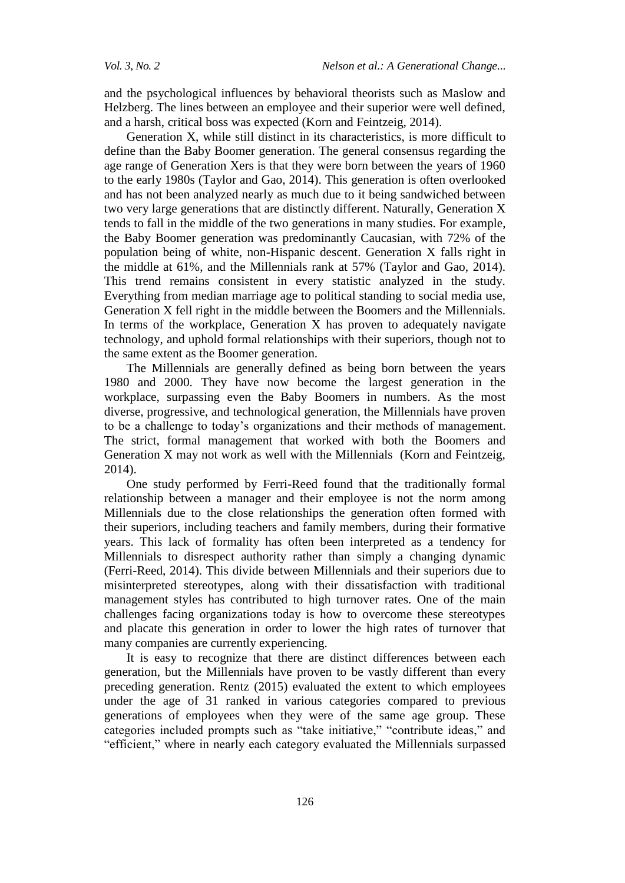and the psychological influences by behavioral theorists such as Maslow and Helzberg. The lines between an employee and their superior were well defined, and a harsh, critical boss was expected (Korn and Feintzeig, 2014).

Generation X, while still distinct in its characteristics, is more difficult to define than the Baby Boomer generation. The general consensus regarding the age range of Generation Xers is that they were born between the years of 1960 to the early 1980s (Taylor and Gao, 2014). This generation is often overlooked and has not been analyzed nearly as much due to it being sandwiched between two very large generations that are distinctly different. Naturally, Generation X tends to fall in the middle of the two generations in many studies. For example, the Baby Boomer generation was predominantly Caucasian, with 72% of the population being of white, non-Hispanic descent. Generation X falls right in the middle at 61%, and the Millennials rank at 57% (Taylor and Gao, 2014). This trend remains consistent in every statistic analyzed in the study. Everything from median marriage age to political standing to social media use, Generation X fell right in the middle between the Boomers and the Millennials. In terms of the workplace, Generation  $X$  has proven to adequately navigate technology, and uphold formal relationships with their superiors, though not to the same extent as the Boomer generation.

The Millennials are generally defined as being born between the years 1980 and 2000. They have now become the largest generation in the workplace, surpassing even the Baby Boomers in numbers. As the most diverse, progressive, and technological generation, the Millennials have proven to be a challenge to today's organizations and their methods of management. The strict, formal management that worked with both the Boomers and Generation X may not work as well with the Millennials (Korn and Feintzeig, 2014).

One study performed by Ferri-Reed found that the traditionally formal relationship between a manager and their employee is not the norm among Millennials due to the close relationships the generation often formed with their superiors, including teachers and family members, during their formative years. This lack of formality has often been interpreted as a tendency for Millennials to disrespect authority rather than simply a changing dynamic (Ferri-Reed, 2014). This divide between Millennials and their superiors due to misinterpreted stereotypes, along with their dissatisfaction with traditional management styles has contributed to high turnover rates. One of the main challenges facing organizations today is how to overcome these stereotypes and placate this generation in order to lower the high rates of turnover that many companies are currently experiencing.

It is easy to recognize that there are distinct differences between each generation, but the Millennials have proven to be vastly different than every preceding generation. Rentz (2015) evaluated the extent to which employees under the age of 31 ranked in various categories compared to previous generations of employees when they were of the same age group. These categories included prompts such as "take initiative," "contribute ideas," and "efficient," where in nearly each category evaluated the Millennials surpassed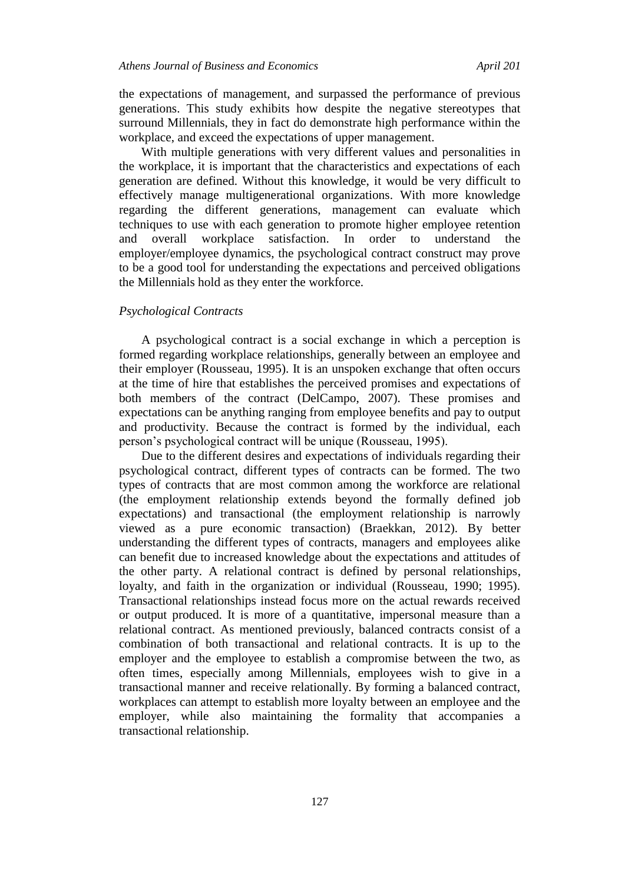the expectations of management, and surpassed the performance of previous generations. This study exhibits how despite the negative stereotypes that surround Millennials, they in fact do demonstrate high performance within the workplace, and exceed the expectations of upper management.

With multiple generations with very different values and personalities in the workplace, it is important that the characteristics and expectations of each generation are defined. Without this knowledge, it would be very difficult to effectively manage multigenerational organizations. With more knowledge regarding the different generations, management can evaluate which techniques to use with each generation to promote higher employee retention and overall workplace satisfaction. In order to understand employer/employee dynamics, the psychological contract construct may prove to be a good tool for understanding the expectations and perceived obligations the Millennials hold as they enter the workforce.

## *Psychological Contracts*

A psychological contract is a social exchange in which a perception is formed regarding workplace relationships, generally between an employee and their employer (Rousseau, 1995). It is an unspoken exchange that often occurs at the time of hire that establishes the perceived promises and expectations of both members of the contract (DelCampo, 2007). These promises and expectations can be anything ranging from employee benefits and pay to output and productivity. Because the contract is formed by the individual, each person's psychological contract will be unique (Rousseau, 1995).

Due to the different desires and expectations of individuals regarding their psychological contract, different types of contracts can be formed. The two types of contracts that are most common among the workforce are relational (the employment relationship extends beyond the formally defined job expectations) and transactional (the employment relationship is narrowly viewed as a pure economic transaction) (Braekkan, 2012). By better understanding the different types of contracts, managers and employees alike can benefit due to increased knowledge about the expectations and attitudes of the other party. A relational contract is defined by personal relationships, loyalty, and faith in the organization or individual (Rousseau, 1990; 1995). Transactional relationships instead focus more on the actual rewards received or output produced. It is more of a quantitative, impersonal measure than a relational contract. As mentioned previously, balanced contracts consist of a combination of both transactional and relational contracts. It is up to the employer and the employee to establish a compromise between the two, as often times, especially among Millennials, employees wish to give in a transactional manner and receive relationally. By forming a balanced contract, workplaces can attempt to establish more loyalty between an employee and the employer, while also maintaining the formality that accompanies a transactional relationship.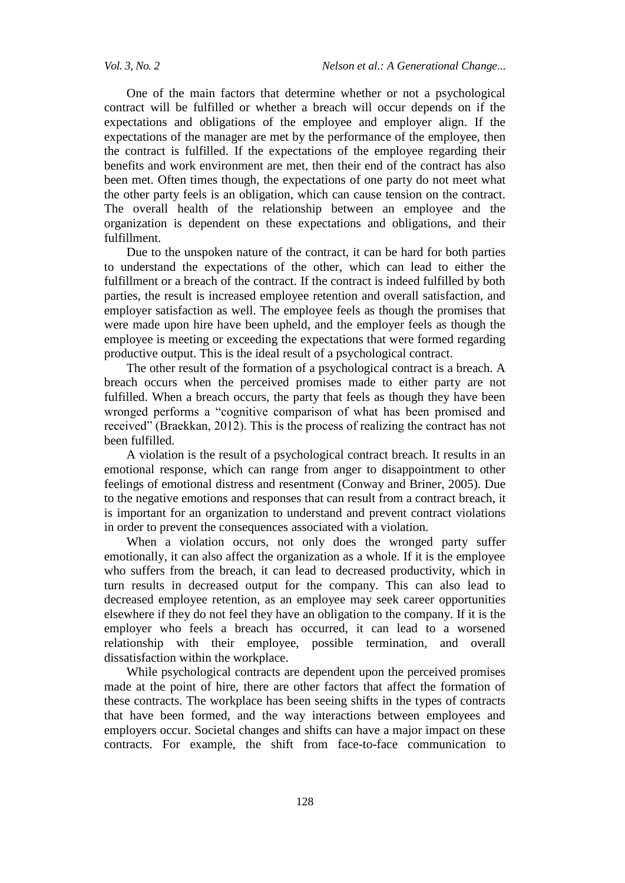One of the main factors that determine whether or not a psychological contract will be fulfilled or whether a breach will occur depends on if the expectations and obligations of the employee and employer align. If the expectations of the manager are met by the performance of the employee, then the contract is fulfilled. If the expectations of the employee regarding their benefits and work environment are met, then their end of the contract has also been met. Often times though, the expectations of one party do not meet what the other party feels is an obligation, which can cause tension on the contract. The overall health of the relationship between an employee and the organization is dependent on these expectations and obligations, and their fulfillment.

Due to the unspoken nature of the contract, it can be hard for both parties to understand the expectations of the other, which can lead to either the fulfillment or a breach of the contract. If the contract is indeed fulfilled by both parties, the result is increased employee retention and overall satisfaction, and employer satisfaction as well. The employee feels as though the promises that were made upon hire have been upheld, and the employer feels as though the employee is meeting or exceeding the expectations that were formed regarding productive output. This is the ideal result of a psychological contract.

The other result of the formation of a psychological contract is a breach. A breach occurs when the perceived promises made to either party are not fulfilled. When a breach occurs, the party that feels as though they have been wronged performs a "cognitive comparison of what has been promised and received" (Braekkan, 2012). This is the process of realizing the contract has not been fulfilled.

A violation is the result of a psychological contract breach. It results in an emotional response, which can range from anger to disappointment to other feelings of emotional distress and resentment (Conway and Briner, 2005). Due to the negative emotions and responses that can result from a contract breach, it is important for an organization to understand and prevent contract violations in order to prevent the consequences associated with a violation.

When a violation occurs, not only does the wronged party suffer emotionally, it can also affect the organization as a whole. If it is the employee who suffers from the breach, it can lead to decreased productivity, which in turn results in decreased output for the company. This can also lead to decreased employee retention, as an employee may seek career opportunities elsewhere if they do not feel they have an obligation to the company. If it is the employer who feels a breach has occurred, it can lead to a worsened relationship with their employee, possible termination, and overall dissatisfaction within the workplace.

While psychological contracts are dependent upon the perceived promises made at the point of hire, there are other factors that affect the formation of these contracts. The workplace has been seeing shifts in the types of contracts that have been formed, and the way interactions between employees and employers occur. Societal changes and shifts can have a major impact on these contracts. For example, the shift from face-to-face communication to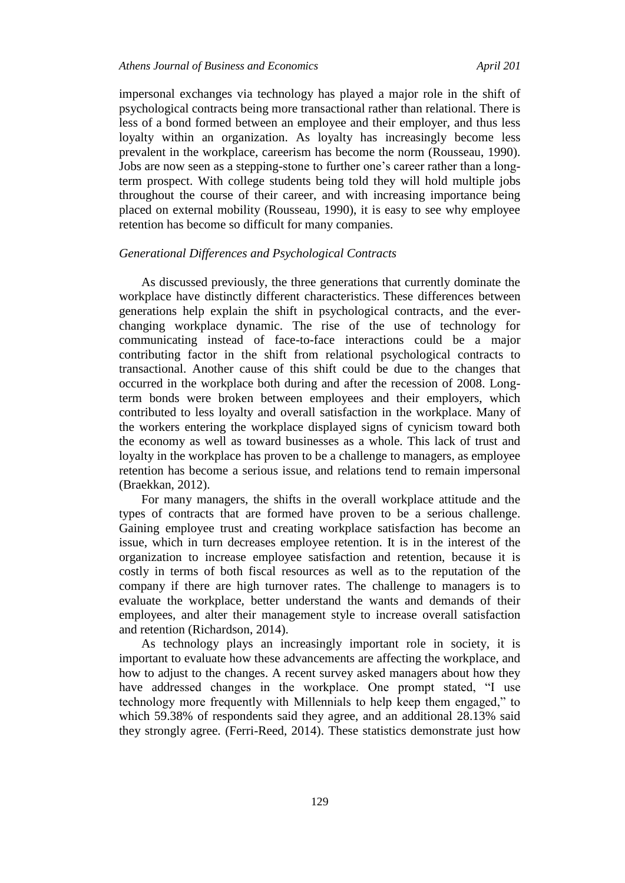impersonal exchanges via technology has played a major role in the shift of psychological contracts being more transactional rather than relational. There is less of a bond formed between an employee and their employer, and thus less loyalty within an organization. As loyalty has increasingly become less prevalent in the workplace, careerism has become the norm (Rousseau, 1990). Jobs are now seen as a stepping-stone to further one's career rather than a longterm prospect. With college students being told they will hold multiple jobs throughout the course of their career, and with increasing importance being placed on external mobility (Rousseau, 1990), it is easy to see why employee retention has become so difficult for many companies.

# *Generational Differences and Psychological Contracts*

As discussed previously, the three generations that currently dominate the workplace have distinctly different characteristics. These differences between generations help explain the shift in psychological contracts, and the everchanging workplace dynamic. The rise of the use of technology for communicating instead of face-to-face interactions could be a major contributing factor in the shift from relational psychological contracts to transactional. Another cause of this shift could be due to the changes that occurred in the workplace both during and after the recession of 2008. Longterm bonds were broken between employees and their employers, which contributed to less loyalty and overall satisfaction in the workplace. Many of the workers entering the workplace displayed signs of cynicism toward both the economy as well as toward businesses as a whole. This lack of trust and loyalty in the workplace has proven to be a challenge to managers, as employee retention has become a serious issue, and relations tend to remain impersonal (Braekkan, 2012).

For many managers, the shifts in the overall workplace attitude and the types of contracts that are formed have proven to be a serious challenge. Gaining employee trust and creating workplace satisfaction has become an issue, which in turn decreases employee retention. It is in the interest of the organization to increase employee satisfaction and retention, because it is costly in terms of both fiscal resources as well as to the reputation of the company if there are high turnover rates. The challenge to managers is to evaluate the workplace, better understand the wants and demands of their employees, and alter their management style to increase overall satisfaction and retention (Richardson, 2014).

As technology plays an increasingly important role in society, it is important to evaluate how these advancements are affecting the workplace, and how to adjust to the changes. A recent survey asked managers about how they have addressed changes in the workplace. One prompt stated, "I use technology more frequently with Millennials to help keep them engaged," to which 59.38% of respondents said they agree, and an additional 28.13% said they strongly agree. (Ferri-Reed, 2014). These statistics demonstrate just how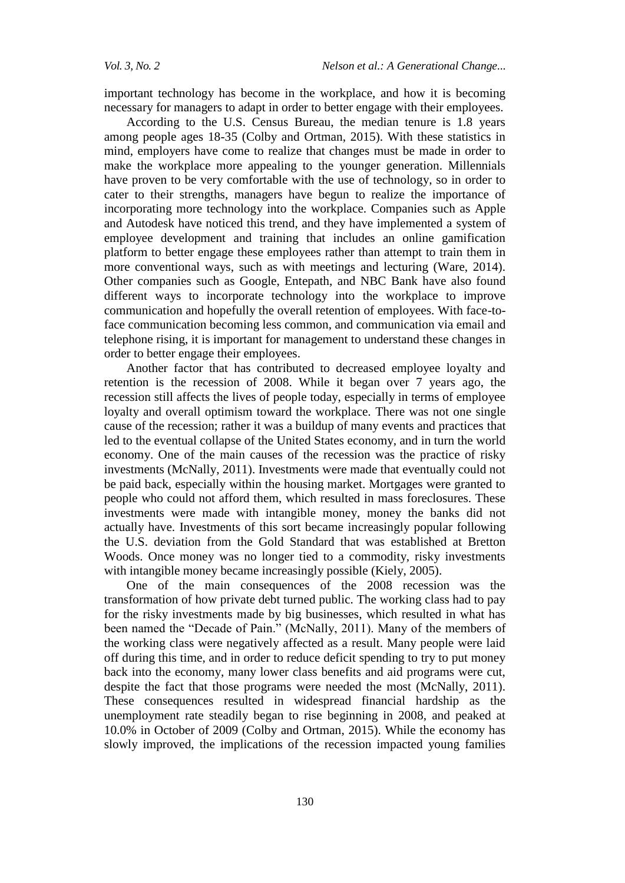important technology has become in the workplace, and how it is becoming necessary for managers to adapt in order to better engage with their employees.

According to the U.S. Census Bureau, the median tenure is 1.8 years among people ages 18-35 (Colby and Ortman, 2015). With these statistics in mind, employers have come to realize that changes must be made in order to make the workplace more appealing to the younger generation. Millennials have proven to be very comfortable with the use of technology, so in order to cater to their strengths, managers have begun to realize the importance of incorporating more technology into the workplace. Companies such as Apple and Autodesk have noticed this trend, and they have implemented a system of employee development and training that includes an online gamification platform to better engage these employees rather than attempt to train them in more conventional ways, such as with meetings and lecturing (Ware, 2014). Other companies such as Google, Entepath, and NBC Bank have also found different ways to incorporate technology into the workplace to improve communication and hopefully the overall retention of employees. With face-toface communication becoming less common, and communication via email and telephone rising, it is important for management to understand these changes in order to better engage their employees.

Another factor that has contributed to decreased employee loyalty and retention is the recession of 2008. While it began over 7 years ago, the recession still affects the lives of people today, especially in terms of employee loyalty and overall optimism toward the workplace. There was not one single cause of the recession; rather it was a buildup of many events and practices that led to the eventual collapse of the United States economy, and in turn the world economy. One of the main causes of the recession was the practice of risky investments (McNally, 2011). Investments were made that eventually could not be paid back, especially within the housing market. Mortgages were granted to people who could not afford them, which resulted in mass foreclosures. These investments were made with intangible money, money the banks did not actually have. Investments of this sort became increasingly popular following the U.S. deviation from the Gold Standard that was established at Bretton Woods. Once money was no longer tied to a commodity, risky investments with intangible money became increasingly possible (Kiely, 2005).

One of the main consequences of the 2008 recession was the transformation of how private debt turned public. The working class had to pay for the risky investments made by big businesses, which resulted in what has been named the "Decade of Pain." (McNally, 2011). Many of the members of the working class were negatively affected as a result. Many people were laid off during this time, and in order to reduce deficit spending to try to put money back into the economy, many lower class benefits and aid programs were cut, despite the fact that those programs were needed the most (McNally, 2011). These consequences resulted in widespread financial hardship as the unemployment rate steadily began to rise beginning in 2008, and peaked at 10.0% in October of 2009 (Colby and Ortman, 2015). While the economy has slowly improved, the implications of the recession impacted young families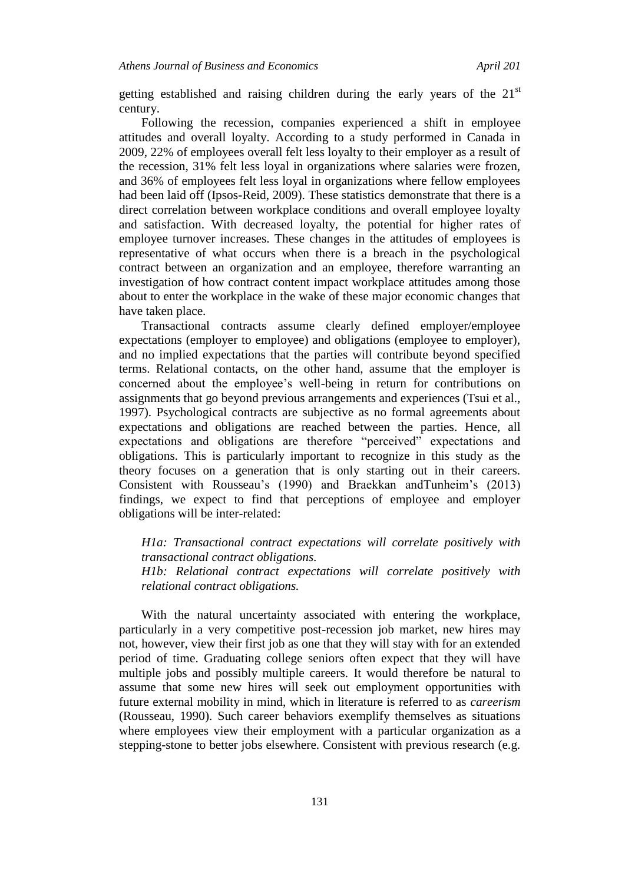getting established and raising children during the early years of the  $21<sup>st</sup>$ century.

Following the recession, companies experienced a shift in employee attitudes and overall loyalty. According to a study performed in Canada in 2009, 22% of employees overall felt less loyalty to their employer as a result of the recession, 31% felt less loyal in organizations where salaries were frozen, and 36% of employees felt less loyal in organizations where fellow employees had been laid off (Ipsos-Reid, 2009). These statistics demonstrate that there is a direct correlation between workplace conditions and overall employee loyalty and satisfaction. With decreased loyalty, the potential for higher rates of employee turnover increases. These changes in the attitudes of employees is representative of what occurs when there is a breach in the psychological contract between an organization and an employee, therefore warranting an investigation of how contract content impact workplace attitudes among those about to enter the workplace in the wake of these major economic changes that have taken place.

Transactional contracts assume clearly defined employer/employee expectations (employer to employee) and obligations (employee to employer), and no implied expectations that the parties will contribute beyond specified terms. Relational contacts, on the other hand, assume that the employer is concerned about the employee's well-being in return for contributions on assignments that go beyond previous arrangements and experiences (Tsui et al., 1997). Psychological contracts are subjective as no formal agreements about expectations and obligations are reached between the parties. Hence, all expectations and obligations are therefore "perceived" expectations and obligations. This is particularly important to recognize in this study as the theory focuses on a generation that is only starting out in their careers. Consistent with Rousseau's (1990) and Braekkan andTunheim's (2013) findings, we expect to find that perceptions of employee and employer obligations will be inter-related:

*H1a: Transactional contract expectations will correlate positively with transactional contract obligations. H1b: Relational contract expectations will correlate positively with relational contract obligations.*

With the natural uncertainty associated with entering the workplace, particularly in a very competitive post-recession job market, new hires may not, however, view their first job as one that they will stay with for an extended period of time. Graduating college seniors often expect that they will have multiple jobs and possibly multiple careers. It would therefore be natural to assume that some new hires will seek out employment opportunities with future external mobility in mind, which in literature is referred to as *careerism*  (Rousseau, 1990). Such career behaviors exemplify themselves as situations where employees view their employment with a particular organization as a stepping-stone to better jobs elsewhere. Consistent with previous research (e.g.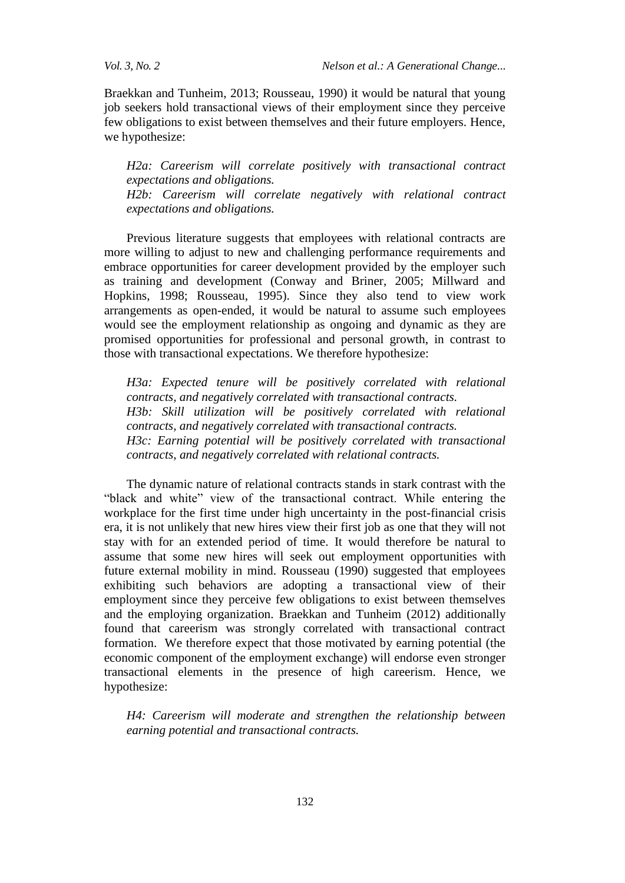Braekkan and Tunheim, 2013; Rousseau, 1990) it would be natural that young job seekers hold transactional views of their employment since they perceive few obligations to exist between themselves and their future employers. Hence, we hypothesize:

*H2a: Careerism will correlate positively with transactional contract expectations and obligations. H2b: Careerism will correlate negatively with relational contract expectations and obligations.*

Previous literature suggests that employees with relational contracts are more willing to adjust to new and challenging performance requirements and embrace opportunities for career development provided by the employer such as training and development (Conway and Briner, 2005; Millward and Hopkins, 1998; Rousseau, 1995). Since they also tend to view work arrangements as open-ended, it would be natural to assume such employees would see the employment relationship as ongoing and dynamic as they are promised opportunities for professional and personal growth, in contrast to those with transactional expectations. We therefore hypothesize:

*H3a: Expected tenure will be positively correlated with relational contracts, and negatively correlated with transactional contracts. H3b: Skill utilization will be positively correlated with relational contracts, and negatively correlated with transactional contracts. H3c: Earning potential will be positively correlated with transactional contracts, and negatively correlated with relational contracts.*

The dynamic nature of relational contracts stands in stark contrast with the "black and white" view of the transactional contract. While entering the workplace for the first time under high uncertainty in the post-financial crisis era, it is not unlikely that new hires view their first job as one that they will not stay with for an extended period of time. It would therefore be natural to assume that some new hires will seek out employment opportunities with future external mobility in mind. Rousseau (1990) suggested that employees exhibiting such behaviors are adopting a transactional view of their employment since they perceive few obligations to exist between themselves and the employing organization. Braekkan and Tunheim (2012) additionally found that careerism was strongly correlated with transactional contract formation. We therefore expect that those motivated by earning potential (the economic component of the employment exchange) will endorse even stronger transactional elements in the presence of high careerism. Hence, we hypothesize:

*H4: Careerism will moderate and strengthen the relationship between earning potential and transactional contracts.*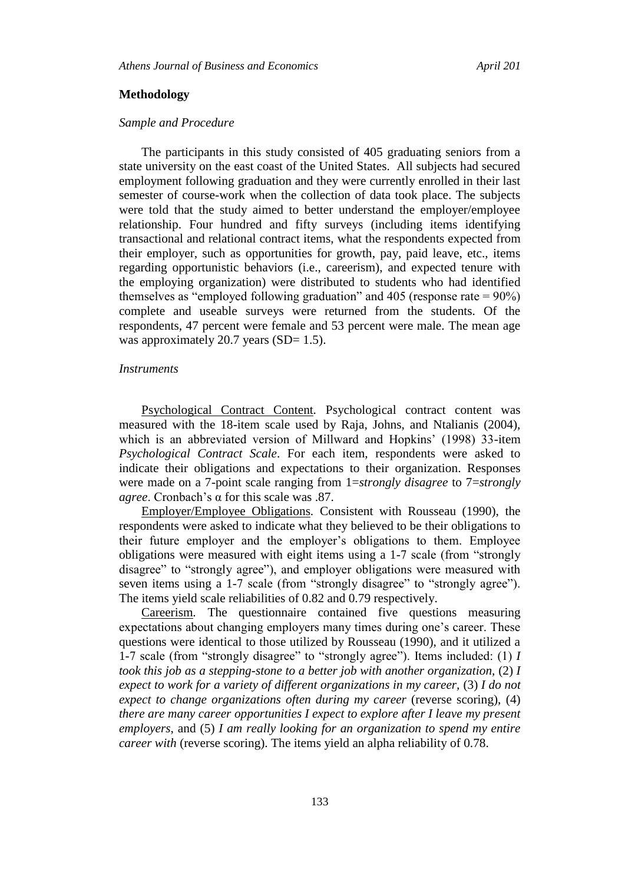## **Methodology**

### *Sample and Procedure*

The participants in this study consisted of 405 graduating seniors from a state university on the east coast of the United States. All subjects had secured employment following graduation and they were currently enrolled in their last semester of course-work when the collection of data took place. The subjects were told that the study aimed to better understand the employer/employee relationship. Four hundred and fifty surveys (including items identifying transactional and relational contract items, what the respondents expected from their employer, such as opportunities for growth, pay, paid leave, etc., items regarding opportunistic behaviors (i.e., careerism), and expected tenure with the employing organization) were distributed to students who had identified themselves as "employed following graduation" and  $405$  (response rate =  $90\%$ ) complete and useable surveys were returned from the students. Of the respondents, 47 percent were female and 53 percent were male. The mean age was approximately 20.7 years  $(SD= 1.5)$ .

## *Instruments*

Psychological Contract Content*.* Psychological contract content was measured with the 18-item scale used by Raja, Johns, and Ntalianis (2004), which is an abbreviated version of Millward and Hopkins' (1998) 33-item *Psychological Contract Scale*. For each item, respondents were asked to indicate their obligations and expectations to their organization. Responses were made on a 7-point scale ranging from 1=*strongly disagree* to 7=*strongly agree*. Cronbach's α for this scale was .87.

Employer/Employee Obligations*.* Consistent with Rousseau (1990), the respondents were asked to indicate what they believed to be their obligations to their future employer and the employer's obligations to them. Employee obligations were measured with eight items using a 1-7 scale (from "strongly disagree" to "strongly agree"), and employer obligations were measured with seven items using a 1-7 scale (from "strongly disagree" to "strongly agree"). The items yield scale reliabilities of 0.82 and 0.79 respectively.

Careerism*.* The questionnaire contained five questions measuring expectations about changing employers many times during one's career. These questions were identical to those utilized by Rousseau (1990), and it utilized a 1-7 scale (from "strongly disagree" to "strongly agree"). Items included: (1) *I took this job as a stepping-stone to a better job with another organization, (2) I expect to work for a variety of different organizations in my career,* (3) *I do not expect to change organizations often during my career (reverse scoring), (4) there are many career opportunities I expect to explore after I leave my present employers*, and (5) *I am really looking for an organization to spend my entire career with* (reverse scoring). The items yield an alpha reliability of 0.78.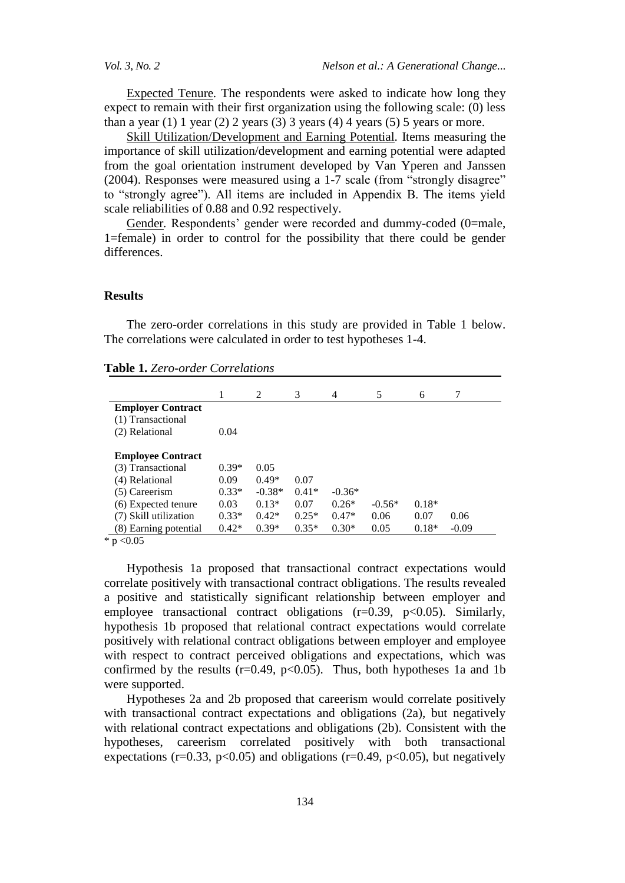Expected Tenure*.* The respondents were asked to indicate how long they expect to remain with their first organization using the following scale: (0) less than a year (1) 1 year (2) 2 years (3) 3 years (4) 4 years (5) 5 years or more.

Skill Utilization/Development and Earning Potential*.* Items measuring the importance of skill utilization/development and earning potential were adapted from the goal orientation instrument developed by Van Yperen and Janssen (2004). Responses were measured using a 1-7 scale (from "strongly disagree" to "strongly agree"). All items are included in Appendix B. The items yield scale reliabilities of 0.88 and 0.92 respectively.

Gender. Respondents' gender were recorded and dummy-coded (0=male, 1=female) in order to control for the possibility that there could be gender differences.

## **Results**

The zero-order correlations in this study are provided in Table 1 below. The correlations were calculated in order to test hypotheses 1-4.

|                          |         | 2        | 3       | 4        | 5        | 6       | 7       |
|--------------------------|---------|----------|---------|----------|----------|---------|---------|
| <b>Employer Contract</b> |         |          |         |          |          |         |         |
| (1) Transactional        |         |          |         |          |          |         |         |
| (2) Relational           | 0.04    |          |         |          |          |         |         |
|                          |         |          |         |          |          |         |         |
| <b>Employee Contract</b> |         |          |         |          |          |         |         |
| (3) Transactional        | $0.39*$ | 0.05     |         |          |          |         |         |
| (4) Relational           | 0.09    | $0.49*$  | 0.07    |          |          |         |         |
| (5) Careerism            | $0.33*$ | $-0.38*$ | $0.41*$ | $-0.36*$ |          |         |         |
| (6) Expected tenure      | 0.03    | $0.13*$  | 0.07    | $0.26*$  | $-0.56*$ | $0.18*$ |         |
| (7) Skill utilization    | $0.33*$ | $0.42*$  | $0.25*$ | $0.47*$  | 0.06     | 0.07    | 0.06    |
| (8) Earning potential    | $0.42*$ | $0.39*$  | $0.35*$ | $0.30*$  | 0.05     | $0.18*$ | $-0.09$ |

\*  $p < 0.05$ 

Hypothesis 1a proposed that transactional contract expectations would correlate positively with transactional contract obligations. The results revealed a positive and statistically significant relationship between employer and employee transactional contract obligations  $(r=0.39, p<0.05)$ . Similarly, hypothesis 1b proposed that relational contract expectations would correlate positively with relational contract obligations between employer and employee with respect to contract perceived obligations and expectations, which was confirmed by the results ( $r=0.49$ ,  $p<0.05$ ). Thus, both hypotheses 1a and 1b were supported.

Hypotheses 2a and 2b proposed that careerism would correlate positively with transactional contract expectations and obligations (2a), but negatively with relational contract expectations and obligations (2b). Consistent with the hypotheses, careerism correlated positively with both transactional expectations (r=0.33, p<0.05) and obligations (r=0.49, p<0.05), but negatively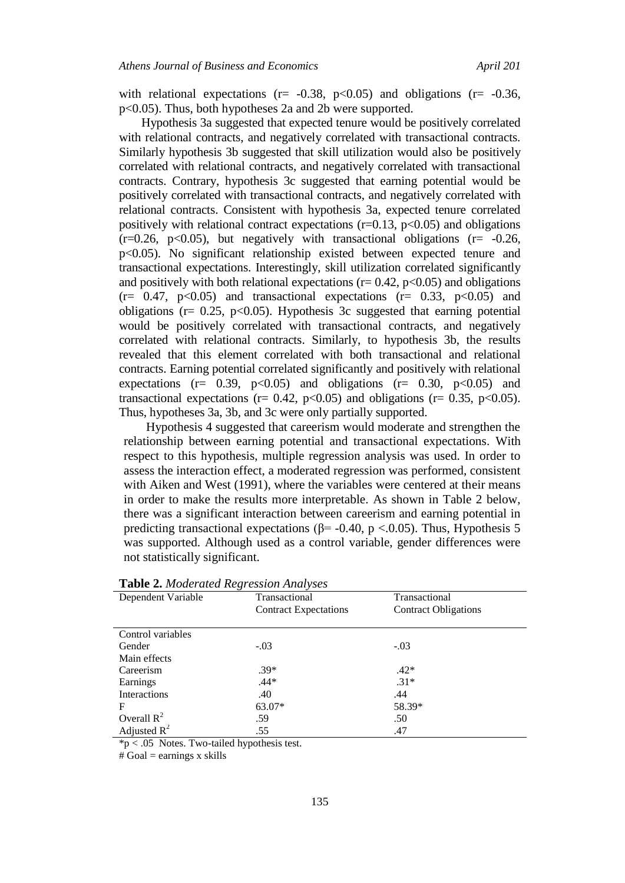with relational expectations ( $r = -0.38$ ,  $p < 0.05$ ) and obligations ( $r = -0.36$ , p<0.05). Thus, both hypotheses 2a and 2b were supported.

Hypothesis 3a suggested that expected tenure would be positively correlated with relational contracts, and negatively correlated with transactional contracts. Similarly hypothesis 3b suggested that skill utilization would also be positively correlated with relational contracts, and negatively correlated with transactional contracts. Contrary, hypothesis 3c suggested that earning potential would be positively correlated with transactional contracts, and negatively correlated with relational contracts. Consistent with hypothesis 3a, expected tenure correlated positively with relational contract expectations  $(r=0.13, p<0.05)$  and obligations  $(r=0.26, p<0.05)$ , but negatively with transactional obligations  $(r=-0.26, p<0.05)$ p<0.05). No significant relationship existed between expected tenure and transactional expectations. Interestingly, skill utilization correlated significantly and positively with both relational expectations ( $r= 0.42$ ,  $p<0.05$ ) and obligations  $(r= 0.47, p<0.05)$  and transactional expectations  $(r= 0.33, p<0.05)$  and obligations ( $r = 0.25$ ,  $p < 0.05$ ). Hypothesis 3c suggested that earning potential would be positively correlated with transactional contracts, and negatively correlated with relational contracts. Similarly, to hypothesis 3b, the results revealed that this element correlated with both transactional and relational contracts. Earning potential correlated significantly and positively with relational expectations ( $r = 0.39$ ,  $p < 0.05$ ) and obligations ( $r = 0.30$ ,  $p < 0.05$ ) and transactional expectations ( $r = 0.42$ ,  $p < 0.05$ ) and obligations ( $r = 0.35$ ,  $p < 0.05$ ). Thus, hypotheses 3a, 3b, and 3c were only partially supported.

Hypothesis 4 suggested that careerism would moderate and strengthen the relationship between earning potential and transactional expectations. With respect to this hypothesis, multiple regression analysis was used. In order to assess the interaction effect, a moderated regression was performed, consistent with Aiken and West (1991), where the variables were centered at their means in order to make the results more interpretable. As shown in Table 2 below, there was a significant interaction between careerism and earning potential in predicting transactional expectations ( $\beta$ = -0.40, p <.0.05). Thus, Hypothesis 5 was supported. Although used as a control variable, gender differences were not statistically significant.

| $\checkmark$<br>Dependent Variable | Transactional                | Transactional               |
|------------------------------------|------------------------------|-----------------------------|
|                                    | <b>Contract Expectations</b> | <b>Contract Obligations</b> |
|                                    |                              |                             |
| Control variables                  |                              |                             |
| Gender                             | $-.03$                       | $-.03$                      |
| Main effects                       |                              |                             |
| Careerism                          | $.39*$                       | $.42*$                      |
| Earnings                           | $.44*$                       | $.31*$                      |
| Interactions                       | .40                          | .44                         |
| F                                  | 63.07*                       | 58.39*                      |
| Overall $R^2$                      | .59                          | .50                         |
| Adjusted $R^2$                     | .55                          | .47                         |

# **Table 2.** *Moderated Regression Analyses*

 $*p < .05$  Notes. Two-tailed hypothesis test.

 $#$  Goal = earnings x skills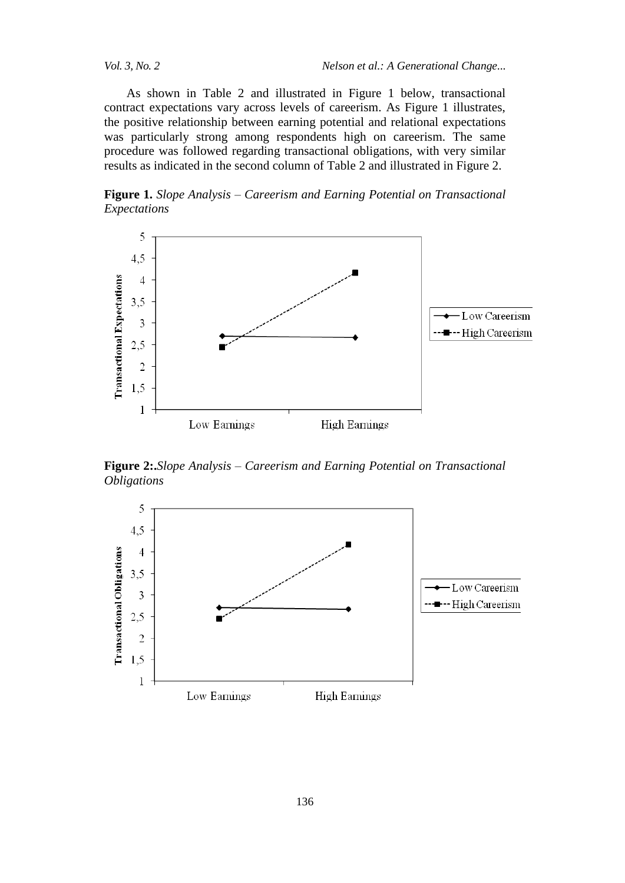As shown in Table 2 and illustrated in Figure 1 below, transactional contract expectations vary across levels of careerism. As Figure 1 illustrates, the positive relationship between earning potential and relational expectations was particularly strong among respondents high on careerism. The same procedure was followed regarding transactional obligations, with very similar results as indicated in the second column of Table 2 and illustrated in Figure 2.

**Figure 1.** *Slope Analysis – Careerism and Earning Potential on Transactional Expectations*



**Figure 2:.***Slope Analysis – Careerism and Earning Potential on Transactional Obligations*

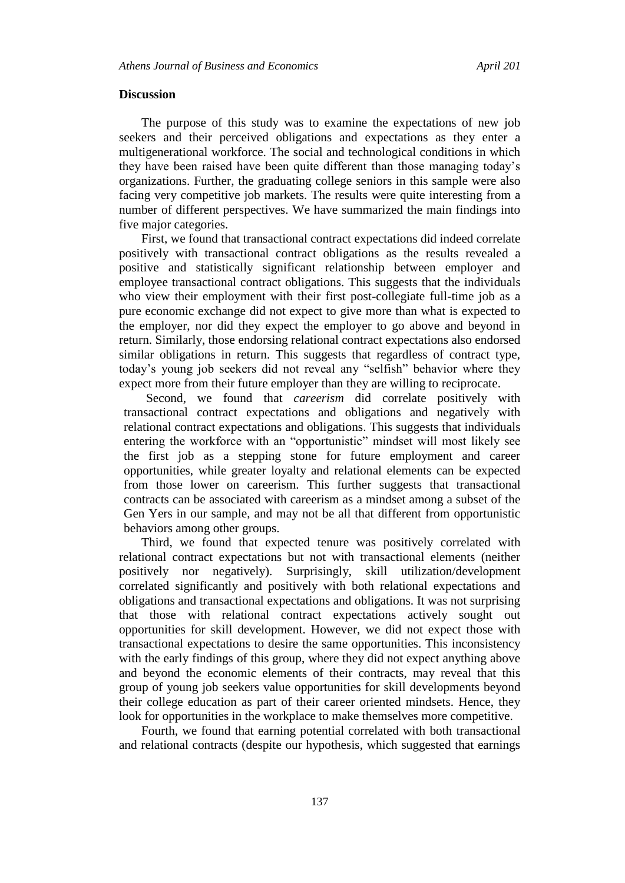## **Discussion**

The purpose of this study was to examine the expectations of new job seekers and their perceived obligations and expectations as they enter a multigenerational workforce. The social and technological conditions in which they have been raised have been quite different than those managing today's organizations. Further, the graduating college seniors in this sample were also facing very competitive job markets. The results were quite interesting from a number of different perspectives. We have summarized the main findings into five major categories.

First, we found that transactional contract expectations did indeed correlate positively with transactional contract obligations as the results revealed a positive and statistically significant relationship between employer and employee transactional contract obligations. This suggests that the individuals who view their employment with their first post-collegiate full-time job as a pure economic exchange did not expect to give more than what is expected to the employer, nor did they expect the employer to go above and beyond in return. Similarly, those endorsing relational contract expectations also endorsed similar obligations in return. This suggests that regardless of contract type, today's young job seekers did not reveal any "selfish" behavior where they expect more from their future employer than they are willing to reciprocate.

Second, we found that *careerism* did correlate positively with transactional contract expectations and obligations and negatively with relational contract expectations and obligations. This suggests that individuals entering the workforce with an "opportunistic" mindset will most likely see the first job as a stepping stone for future employment and career opportunities, while greater loyalty and relational elements can be expected from those lower on careerism. This further suggests that transactional contracts can be associated with careerism as a mindset among a subset of the Gen Yers in our sample, and may not be all that different from opportunistic behaviors among other groups.

Third, we found that expected tenure was positively correlated with relational contract expectations but not with transactional elements (neither positively nor negatively). Surprisingly, skill utilization/development correlated significantly and positively with both relational expectations and obligations and transactional expectations and obligations. It was not surprising that those with relational contract expectations actively sought out opportunities for skill development. However, we did not expect those with transactional expectations to desire the same opportunities. This inconsistency with the early findings of this group, where they did not expect anything above and beyond the economic elements of their contracts, may reveal that this group of young job seekers value opportunities for skill developments beyond their college education as part of their career oriented mindsets. Hence, they look for opportunities in the workplace to make themselves more competitive.

Fourth, we found that earning potential correlated with both transactional and relational contracts (despite our hypothesis, which suggested that earnings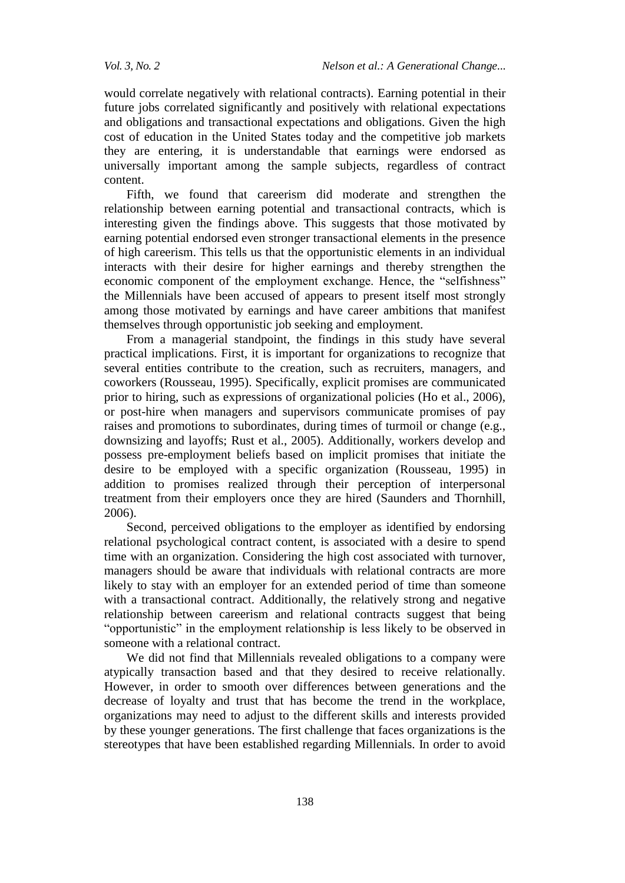would correlate negatively with relational contracts). Earning potential in their future jobs correlated significantly and positively with relational expectations and obligations and transactional expectations and obligations. Given the high cost of education in the United States today and the competitive job markets they are entering, it is understandable that earnings were endorsed as universally important among the sample subjects, regardless of contract content.

Fifth, we found that careerism did moderate and strengthen the relationship between earning potential and transactional contracts, which is interesting given the findings above. This suggests that those motivated by earning potential endorsed even stronger transactional elements in the presence of high careerism. This tells us that the opportunistic elements in an individual interacts with their desire for higher earnings and thereby strengthen the economic component of the employment exchange. Hence, the "selfishness" the Millennials have been accused of appears to present itself most strongly among those motivated by earnings and have career ambitions that manifest themselves through opportunistic job seeking and employment.

From a managerial standpoint, the findings in this study have several practical implications. First, it is important for organizations to recognize that several entities contribute to the creation, such as recruiters, managers, and coworkers (Rousseau, 1995). Specifically, explicit promises are communicated prior to hiring, such as expressions of organizational policies (Ho et al., 2006), or post-hire when managers and supervisors communicate promises of pay raises and promotions to subordinates, during times of turmoil or change (e.g., downsizing and layoffs; Rust et al., 2005). Additionally, workers develop and possess pre-employment beliefs based on implicit promises that initiate the desire to be employed with a specific organization (Rousseau, 1995) in addition to promises realized through their perception of interpersonal treatment from their employers once they are hired (Saunders and Thornhill, 2006).

Second, perceived obligations to the employer as identified by endorsing relational psychological contract content, is associated with a desire to spend time with an organization. Considering the high cost associated with turnover, managers should be aware that individuals with relational contracts are more likely to stay with an employer for an extended period of time than someone with a transactional contract. Additionally, the relatively strong and negative relationship between careerism and relational contracts suggest that being "opportunistic" in the employment relationship is less likely to be observed in someone with a relational contract.

We did not find that Millennials revealed obligations to a company were atypically transaction based and that they desired to receive relationally. However, in order to smooth over differences between generations and the decrease of loyalty and trust that has become the trend in the workplace, organizations may need to adjust to the different skills and interests provided by these younger generations. The first challenge that faces organizations is the stereotypes that have been established regarding Millennials. In order to avoid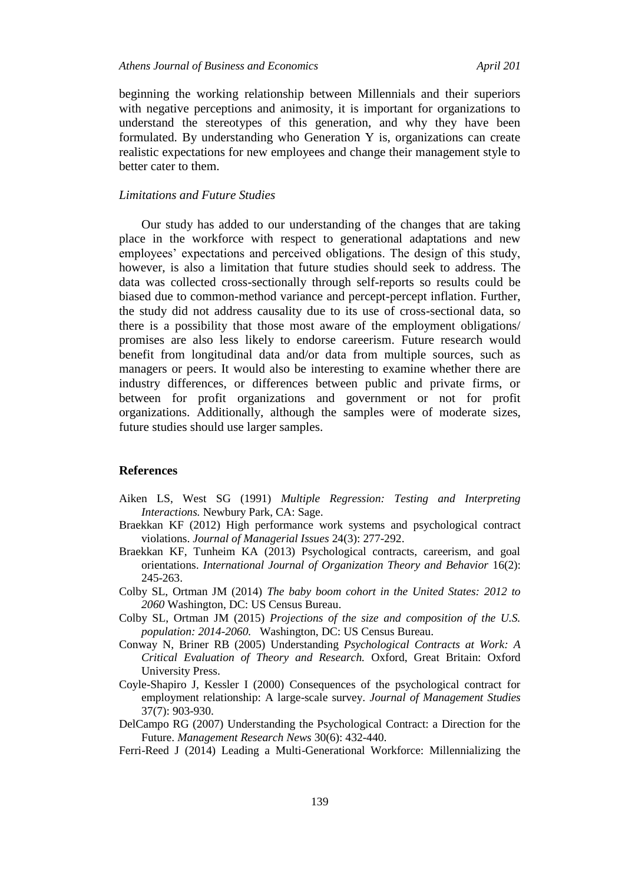beginning the working relationship between Millennials and their superiors with negative perceptions and animosity, it is important for organizations to understand the stereotypes of this generation, and why they have been formulated. By understanding who Generation Y is, organizations can create realistic expectations for new employees and change their management style to better cater to them.

## *Limitations and Future Studies*

Our study has added to our understanding of the changes that are taking place in the workforce with respect to generational adaptations and new employees' expectations and perceived obligations. The design of this study, however, is also a limitation that future studies should seek to address. The data was collected cross-sectionally through self-reports so results could be biased due to common-method variance and percept-percept inflation. Further, the study did not address causality due to its use of cross-sectional data, so there is a possibility that those most aware of the employment obligations/ promises are also less likely to endorse careerism. Future research would benefit from longitudinal data and/or data from multiple sources, such as managers or peers. It would also be interesting to examine whether there are industry differences, or differences between public and private firms, or between for profit organizations and government or not for profit organizations. Additionally, although the samples were of moderate sizes, future studies should use larger samples.

#### **References**

- Aiken LS, West SG (1991) *Multiple Regression: Testing and Interpreting Interactions.* Newbury Park, CA: Sage.
- Braekkan KF (2012) High performance work systems and psychological contract violations. *Journal of Managerial Issues* 24(3): 277-292.
- Braekkan KF, Tunheim KA (2013) Psychological contracts, careerism, and goal orientations. *International Journal of Organization Theory and Behavior* 16(2): 245-263.
- Colby SL, Ortman JM (2014) *The baby boom cohort in the United States: 2012 to 2060* Washington, DC: US Census Bureau.
- Colby SL, Ortman JM (2015) *Projections of the size and composition of the U.S. population: 2014-2060.* Washington, DC: US Census Bureau.
- Conway N, Briner RB (2005) Understanding *Psychological Contracts at Work: A Critical Evaluation of Theory and Research.* Oxford, Great Britain: Oxford University Press.
- Coyle-Shapiro J, Kessler I (2000) Consequences of the psychological contract for employment relationship: A large-scale survey. *Journal of Management Studies* 37(7): 903-930.
- DelCampo RG (2007) Understanding the Psychological Contract: a Direction for the Future. *Management Research News* 30(6): 432-440.
- Ferri-Reed J (2014) Leading a Multi-Generational Workforce: Millennializing the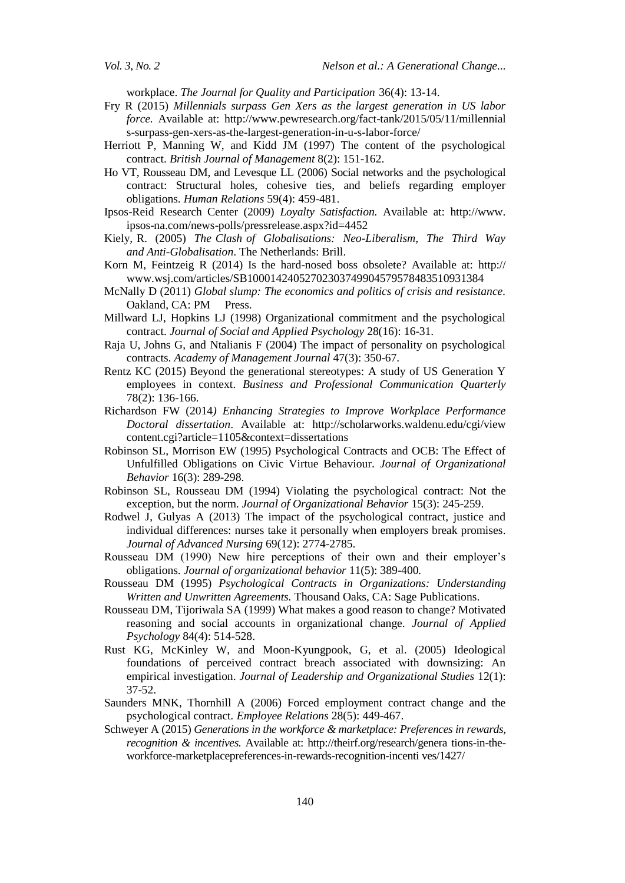workplace. *The Journal for Quality and Participation* 36(4): 13-14.

- Fry R (2015) *Millennials surpass Gen Xers as the largest generation in US labor force.* Available at: http://www.pewresearch.org/fact-tank/2015/05/11/millennial s-surpass-gen-xers-as-the-largest-generation-in-u-s-labor-force/
- Herriott P, Manning W, and Kidd JM (1997) The content of the psychological contract. *British Journal of Management* 8(2): 151-162.
- Ho VT, Rousseau DM, and Levesque LL (2006) Social networks and the psychological contract: Structural holes, cohesive ties, and beliefs regarding employer obligations. *Human Relations* 59(4): 459-481.
- Ipsos-Reid Research Center (2009) *Loyalty Satisfaction.* Available at: http://www. ipsos-na.com/news-polls/pressrelease.aspx?id=4452
- Kiely, R. (2005) *The Clash of Globalisations: Neo-Liberalism, The Third Way and Anti-Globalisation*. The Netherlands: Brill.
- Korn M, Feintzeig R (2014) Is the hard-nosed boss obsolete? Available at: http:// www.wsj.com/articles/SB10001424052702303749904579578483510931384
- McNally D (2011) *Global slump: The economics and politics of crisis and resistance.*  Oakland, CA: PM Press.
- Millward LJ, Hopkins LJ (1998) Organizational commitment and the psychological contract. *Journal of Social and Applied Psychology* 28(16): 16-31.
- Raja U, Johns G, and Ntalianis F (2004) The impact of personality on psychological contracts. *Academy of Management Journal* 47(3): 350-67.
- Rentz KC (2015) Beyond the generational stereotypes: A study of US Generation Y employees in context. *Business and Professional Communication Quarterly* 78(2): 136-166.
- Richardson FW (2014*) Enhancing Strategies to Improve Workplace Performance Doctoral dissertation*. Available at: http://scholarworks.waldenu.edu/cgi/view content.cgi?article=1105&context=dissertations
- Robinson SL, Morrison EW (1995) Psychological Contracts and OCB: The Effect of Unfulfilled Obligations on Civic Virtue Behaviour. *Journal of Organizational Behavior* 16(3): 289-298.
- Robinson SL, Rousseau DM (1994) Violating the psychological contract: Not the exception, but the norm. *Journal of Organizational Behavior* 15(3): 245-259.
- Rodwel J, Gulyas A (2013) The impact of the psychological contract, justice and individual differences: nurses take it personally when employers break promises. *Journal of Advanced Nursing* 69(12): 2774-2785.
- Rousseau DM (1990) New hire perceptions of their own and their employer's obligations. *Journal of organizational behavior* 11(5): 389-400*.*
- Rousseau DM (1995) *Psychological Contracts in Organizations: Understanding Written and Unwritten Agreements.* Thousand Oaks, CA: Sage Publications.
- Rousseau DM, Tijoriwala SA (1999) What makes a good reason to change? Motivated reasoning and social accounts in organizational change. *Journal of Applied Psychology* 84(4): 514-528.
- Rust KG, McKinley W, and Moon-Kyungpook, G, et al. (2005) Ideological foundations of perceived contract breach associated with downsizing: An empirical investigation. *Journal of Leadership and Organizational Studies* 12(1): 37-52.
- Saunders MNK, Thornhill A (2006) Forced employment contract change and the psychological contract*. Employee Relations* 28(5): 449-467.
- Schweyer A (2015) *Generations in the workforce & marketplace: Preferences in rewards, recognition & incentives.* Available at: http:/[/theirf.org/research/genera](http://theirf.org/research/generations-in-the-workforce-marketplacepreferences-in-rewards-recognition-incentives/1427/) tions-in-the[workforce-marketplacepreferences-in-rewards-recognition-incenti](http://theirf.org/research/generations-in-the-workforce-marketplacepreferences-in-rewards-recognition-incentives/1427/) ves/1427/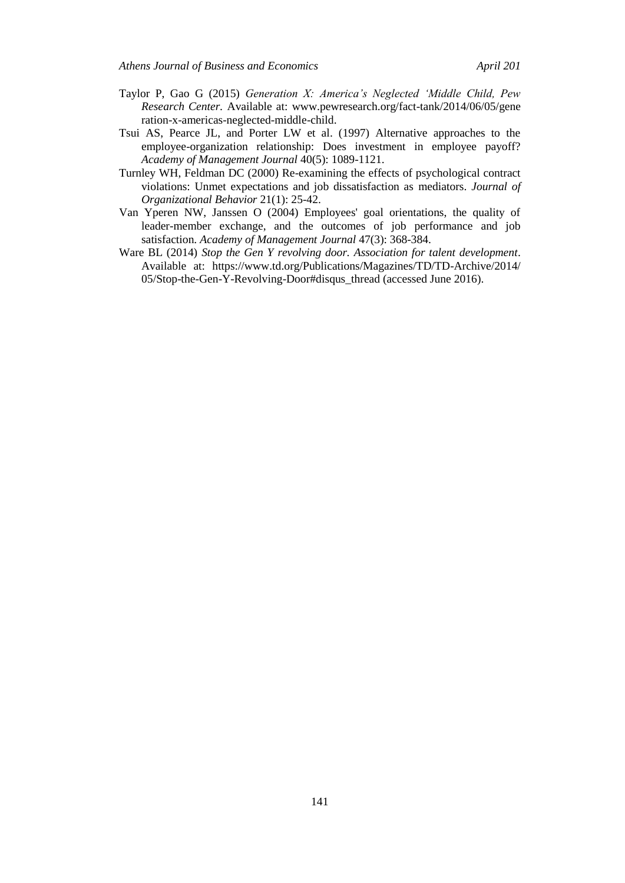- Taylor P, Gao G (2015) *Generation X: America"s Neglected "Middle Child, Pew Research Center.* Available at: www.pewresearch.org/fact-tank/2014/06/05/gene ration-x-americas-neglected-middle-child.
- Tsui AS, Pearce JL, and Porter LW et al. (1997) Alternative approaches to the employee-organization relationship: Does investment in employee payoff? *Academy of Management Journal* 40(5): 1089-1121.
- Turnley WH, Feldman DC (2000) Re-examining the effects of psychological contract violations: Unmet expectations and job dissatisfaction as mediators. *Journal of Organizational Behavior* 21(1): 25-42.
- Van Yperen NW, Janssen O (2004) Employees' goal orientations, the quality of leader-member exchange, and the outcomes of job performance and job satisfaction. *Academy of Management Journal* 47(3): 368-384.
- Ware BL (2014) *Stop the Gen Y revolving door. Association for talent development*. Available at: https://www.td.org/Publications/Magazines/TD/TD-Archive/2014/ 05/Stop-the-Gen-Y-Revolving-Door#disqus\_thread (accessed June 2016).